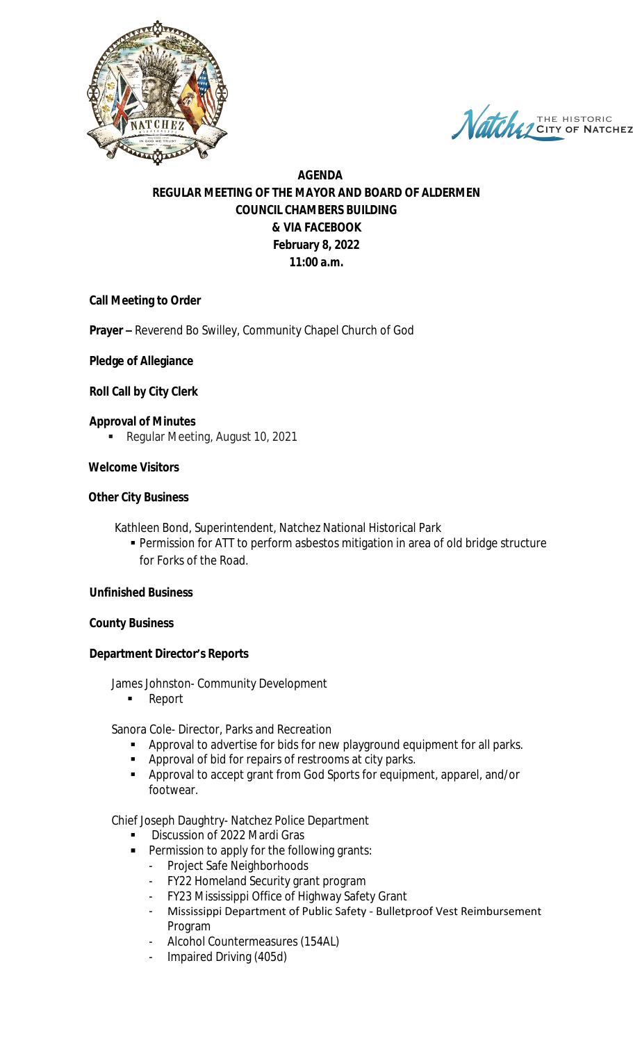

Natche THE HISTORIC

# **AGENDA REGULAR MEETING OF THE MAYOR AND BOARD OF ALDERMEN COUNCIL CHAMBERS BUILDING & VIA FACEBOOK February 8, 2022 11:00 a.m.**

# **Call Meeting to Order**

**Prayer –** Reverend Bo Swilley, Community Chapel Church of God

### **Pledge of Allegiance**

### **Roll Call by City Clerk**

- **Approval of Minutes**
	- Regular Meeting, August 10, 2021

### **Welcome Visitors**

# **Other City Business**

- Kathleen Bond, Superintendent, Natchez National Historical Park
	- Permission for ATT to perform asbestos mitigation in area of old bridge structure for Forks of the Road.

### **Unfinished Business**

### **County Business**

### **Department Director's Reports**

James Johnston- Community Development

**Report** 

Sanora Cole- Director, Parks and Recreation

- **Approval to advertise for bids for new playground equipment for all parks.**
- **Approval of bid for repairs of restrooms at city parks.**
- Approval to accept grant from God Sports for equipment, apparel, and/or footwear.

Chief Joseph Daughtry- Natchez Police Department

- Discussion of 2022 Mardi Gras
- **Permission to apply for the following grants:** 
	- Project Safe Neighborhoods
	- FY22 Homeland Security grant program
	- FY23 Mississippi Office of Highway Safety Grant
	- Mississippi Department of Public Safety Bulletproof Vest Reimbursement Program
	- Alcohol Countermeasures (154AL)
	- Impaired Driving (405d)